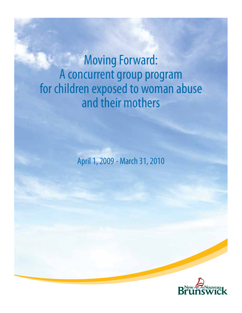# Moving Forward: A concurrent group program for children exposed to woman abuse and their mothers

April 1, 2009 - March 31, 2010

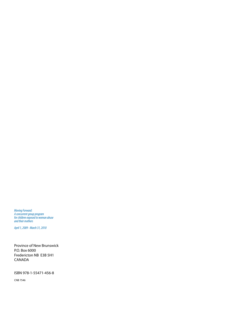*Moving Forward: A concurrent group program for children exposed to woman abuse and their mothers* 

*April 1, 2009 - March 31, 2010*

Province of New Brunswick P.O. Box 6000 Fredericton NB E3B 5H1 CANADA

ISBN 978-1-55471-456-8

CNB 7546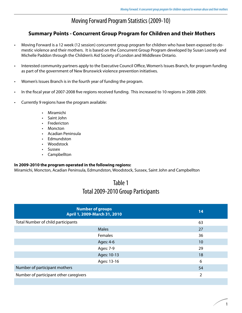## Moving Forward Program Statistics (2009-10)

### **Summary Points - Concurrent Group Program for Children and their Mothers**

- Moving Forward is a 12 week (12 session) concurrent group program for children who have been exposed to domestic violence and their mothers. It is based on the Concurrent Group Program developed by Susan Loosely and Michelle Paddon through the Children's Aid Society of London and Middlesex Ontario.
- Interested community partners apply to the Executive Council Office, Women's Issues Branch, for program funding as part of the government of New Brunswick violence prevention initiatives.
- Women's Issues Branch is in the fourth year of funding the program.
- In the fiscal year of 2007-2008 five regions received funding. This increased to 10 regions in 2008-2009.
- Currently 9 regions have the program available:
	- Miramichi
	- Saint John
	- **Fredericton**
	- Moncton
	- Acadian Peninsula
	- **Edmundston**
	- Woodstock
	- Sussex
	- Campbellton

#### **In 2009-2010 the program operated in the following regions:**

Miramichi, Moncton, Acadian Peninsula, Edmundston, Woodstock, Sussex, Saint John and Campbellton

## Table 1 Total 2009-2010 Group Participants

|                                        | <b>Number of groups</b><br>April 1, 2009-March 31, 2010 | 14 |  |
|----------------------------------------|---------------------------------------------------------|----|--|
| Total Number of child participants     |                                                         | 63 |  |
|                                        | <b>Males</b>                                            | 27 |  |
|                                        | Females                                                 | 36 |  |
|                                        | Ages: 4-6                                               | 10 |  |
|                                        | Ages: 7-9                                               | 29 |  |
|                                        | Ages: 10-13                                             | 18 |  |
|                                        | Ages: 13-16                                             | 6  |  |
| Number of participant mothers          |                                                         | 54 |  |
| Number of participant other caregivers |                                                         | 2  |  |
|                                        |                                                         |    |  |

1